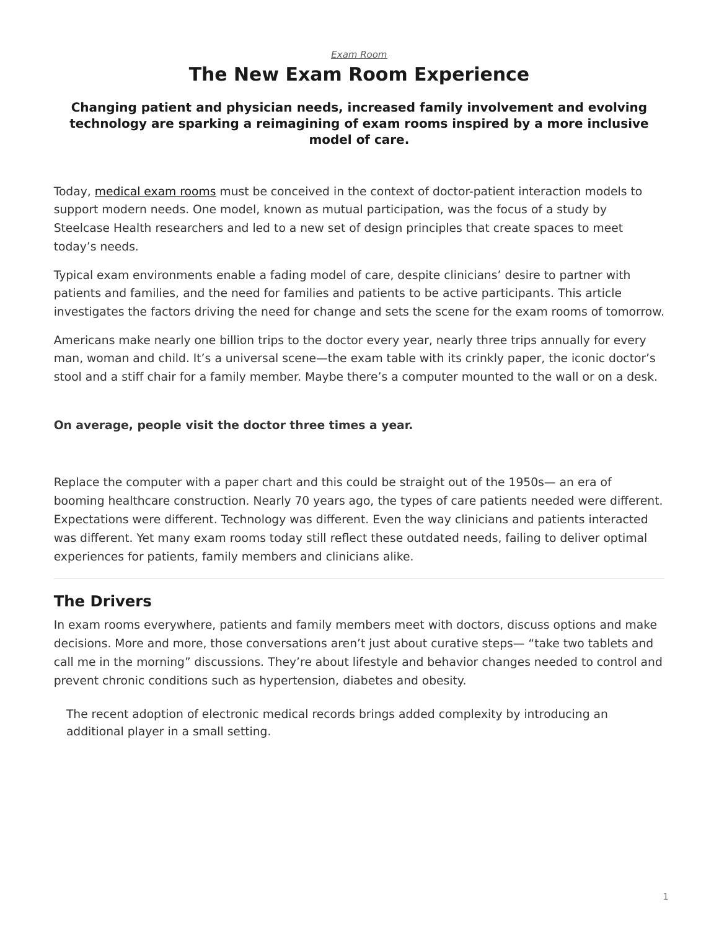### *[Exam Room](https://www.steelcase.com/research/topics/medical-exam-room/)* **The New Exam Room Experience**

#### <span id="page-0-0"></span>**Changing patient and physician needs, increased family involvement and evolving technology are sparking a reimagining of exam rooms inspired by a more inclusive model of care.**

Today, [medical exam rooms](https://www.steelcase.com/spaces-inspiration/health-spaces-exam/) must be conceived in the context of doctor-patient interaction models to support modern needs. One model, known as mutual participation, was the focus of a study by Steelcase Health researchers and led to a new set of design principles that create spaces to meet today's needs.

Typical exam environments enable a fading model of care, despite clinicians' desire to partner with patients and families, and the need for families and patients to be active participants. This article investigates the factors driving the need for change and sets the scene for the exam rooms of tomorrow.

Americans make nearly one billion trips to the doctor every year, nearly three trips annually for every man, woman and child. It's a universal scene—the exam table with its crinkly paper, the iconic doctor's stool and a stiff chair for a family member. Maybe there's a computer mounted to the wall or on a desk.

#### **On average, people visit the doctor three times a year.**

Replace the computer with a paper chart and this could be straight out of the 1950s— an era of booming healthcare construction. Nearly 70 years ago, the types of care patients needed were different. Expectations were different. Technology was different. Even the way clinicians and patients interacted was different. Yet many exam rooms today still reflect these outdated needs, failing to deliver optimal experiences for patients, family members and clinicians alike.

# **The Drivers**

In exam rooms everywhere, patients and family members meet with doctors, discuss options and make decisions. More and more, those conversations aren't just about curative steps— "take two tablets and call me in the morning" discussions. They're about lifestyle and behavior changes needed to control and prevent chronic conditions such as hypertension, diabetes and obesity.

The recent adoption of electronic medical records brings added complexity by introducing an additional player in a small setting.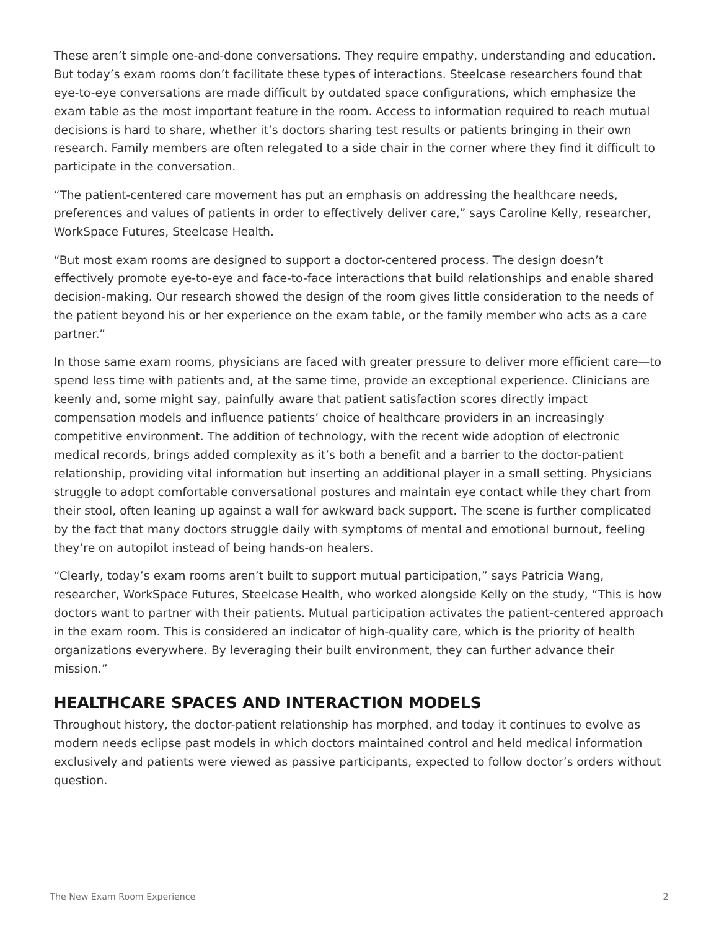These aren't simple one-and-done conversations. They require empathy, understanding and education. But today's exam rooms don't facilitate these types of interactions. Steelcase researchers found that eye-to-eye conversations are made difficult by outdated space configurations, which emphasize the exam table as the most important feature in the room. Access to information required to reach mutual decisions is hard to share, whether it's doctors sharing test results or patients bringing in their own research. Family members are often relegated to a side chair in the corner where they find it difficult to participate in the conversation.

"The patient-centered care movement has put an emphasis on addressing the healthcare needs, preferences and values of patients in order to effectively deliver care," says Caroline Kelly, researcher, WorkSpace Futures, Steelcase Health.

"But most exam rooms are designed to support a doctor-centered process. The design doesn't effectively promote eye-to-eye and face-to-face interactions that build relationships and enable shared decision-making. Our research showed the design of the room gives little consideration to the needs of the patient beyond his or her experience on the exam table, or the family member who acts as a care partner."

In those same exam rooms, physicians are faced with greater pressure to deliver more efficient care—to spend less time with patients and, at the same time, provide an exceptional experience. Clinicians are keenly and, some might say, painfully aware that patient satisfaction scores directly impact compensation models and influence patients' choice of healthcare providers in an increasingly competitive environment. The addition of technology, with the recent wide adoption of electronic medical records, brings added complexity as it's both a benefit and a barrier to the doctor-patient relationship, providing vital information but inserting an additional player in a small setting. Physicians struggle to adopt comfortable conversational postures and maintain eye contact while they chart from their stool, often leaning up against a wall for awkward back support. The scene is further complicated by the fact that many doctors struggle daily with symptoms of mental and emotional burnout, feeling they're on autopilot instead of being hands-on healers.

"Clearly, today's exam rooms aren't built to support mutual participation," says Patricia Wang, researcher, WorkSpace Futures, Steelcase Health, who worked alongside Kelly on the study, "This is how doctors want to partner with their patients. Mutual participation activates the patient-centered approach in the exam room. This is considered an indicator of high-quality care, which is the priority of health organizations everywhere. By leveraging their built environment, they can further advance their mission."

# **HEALTHCARE SPACES AND INTERACTION MODELS**

Throughout history, the doctor-patient relationship has morphed, and today it continues to evolve as modern needs eclipse past models in which doctors maintained control and held medical information exclusively and patients were viewed as passive participants, expected to follow doctor's orders without question.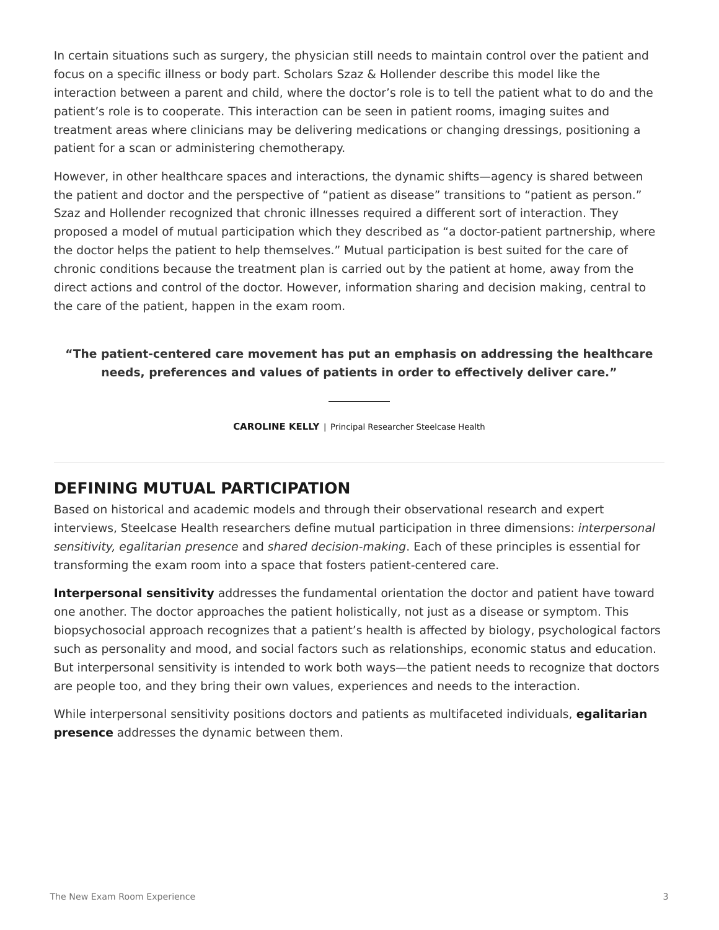In certain situations such as surgery, the physician still needs to maintain control over the patient and focus on a specific illness or body part. Scholars Szaz & Hollender describe this model like the interaction between a parent and child, where the doctor's role is to tell the patient what to do and the patient's role is to cooperate. This interaction can be seen in patient rooms, imaging suites and treatment areas where clinicians may be delivering medications or changing dressings, positioning a patient for a scan or administering chemotherapy.

However, in other healthcare spaces and interactions, the dynamic shifts—agency is shared between the patient and doctor and the perspective of "patient as disease" transitions to "patient as person." Szaz and Hollender recognized that chronic illnesses required a different sort of interaction. They proposed a model of mutual participation which they described as "a doctor-patient partnership, where the doctor helps the patient to help themselves." Mutual participation is best suited for the care of chronic conditions because the treatment plan is carried out by the patient at home, away from the direct actions and control of the doctor. However, information sharing and decision making, central to the care of the patient, happen in the exam room.

#### **"The patient-centered care movement has put an emphasis on addressing the healthcare needs, preferences and values of patients in order to effectively deliver care."**

**CAROLINE KELLY** | Principal Researcher Steelcase Health

### **DEFINING MUTUAL PARTICIPATION**

Based on historical and academic models and through their observational research and expert interviews, Steelcase Health researchers define mutual participation in three dimensions: *interpersonal sensitivity, egalitarian presence* and *shared decision-making*. Each of these principles is essential for transforming the exam room into a space that fosters patient-centered care.

**Interpersonal sensitivity** addresses the fundamental orientation the doctor and patient have toward one another. The doctor approaches the patient holistically, not just as a disease or symptom. This biopsychosocial approach recognizes that a patient's health is affected by biology, psychological factors such as personality and mood, and social factors such as relationships, economic status and education. But interpersonal sensitivity is intended to work both ways—the patient needs to recognize that doctors are people too, and they bring their own values, experiences and needs to the interaction.

While interpersonal sensitivity positions doctors and patients as multifaceted individuals, **egalitarian presence** addresses the dynamic between them.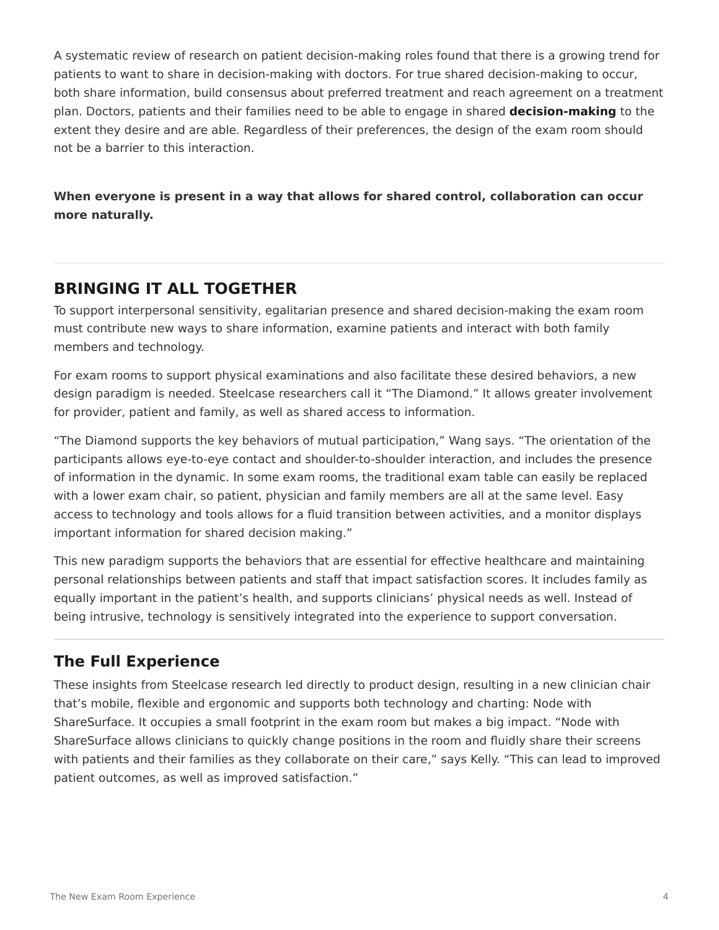A systematic review of research on patient decision-making roles found that there is a growing trend for patients to want to share in decision-making with doctors. For true shared decision-making to occur, both share information, build consensus about preferred treatment and reach agreement on a treatment plan. Doctors, patients and their families need to be able to engage in shared **decision-making** to the extent they desire and are able. Regardless of their preferences, the design of the exam room should not be a barrier to this interaction.

**When everyone is present in a way that allows for shared control, collaboration can occur more naturally.**

# **BRINGING IT ALL TOGETHER**

To support interpersonal sensitivity, egalitarian presence and shared decision-making the exam room must contribute new ways to share information, examine patients and interact with both family members and technology.

For exam rooms to support physical examinations and also facilitate these desired behaviors, a new design paradigm is needed. Steelcase researchers call it "The Diamond." It allows greater involvement for provider, patient and family, as well as shared access to information.

"The Diamond supports the key behaviors of mutual participation," Wang says. "The orientation of the participants allows eye-to-eye contact and shoulder-to-shoulder interaction, and includes the presence of information in the dynamic. In some exam rooms, the traditional exam table can easily be replaced with a lower exam chair, so patient, physician and family members are all at the same level. Easy access to technology and tools allows for a fluid transition between activities, and a monitor displays important information for shared decision making."

This new paradigm supports the behaviors that are essential for effective healthcare and maintaining personal relationships between patients and staff that impact satisfaction scores. It includes family as equally important in the patient's health, and supports clinicians' physical needs as well. Instead of being intrusive, technology is sensitively integrated into the experience to support conversation.

### **The Full Experience**

These insights from Steelcase research led directly to product design, resulting in a new clinician chair that's mobile, flexible and ergonomic and supports both technology and charting: Node with ShareSurface. It occupies a small footprint in the exam room but makes a big impact. "Node with ShareSurface allows clinicians to quickly change positions in the room and fluidly share their screens with patients and their families as they collaborate on their care," says Kelly. "This can lead to improved patient outcomes, as well as improved satisfaction."